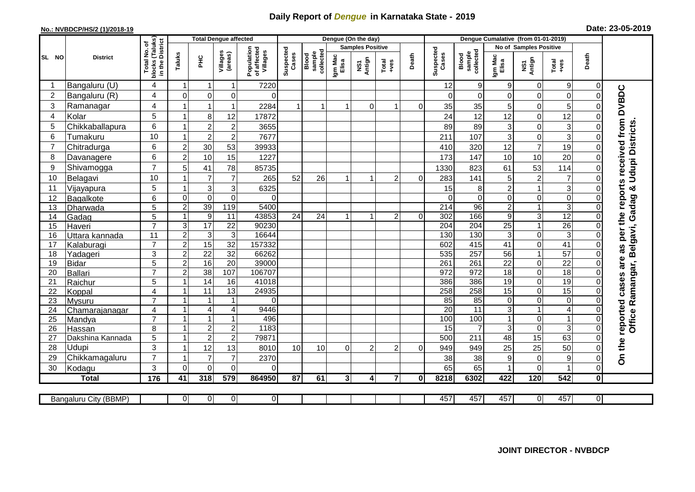## **Daily Report of** *Dengue* **in Karnataka State - 2019**

## **No.: NVBDCP/HS/2 (1)/2018-19**

| Date: 23-05-2019 |  |  |  |  |
|------------------|--|--|--|--|
|------------------|--|--|--|--|

|                |                           |                                                                       |                              | <b>Total Dengue affected</b>       |                                  |                                       |                    |                              |                  | Dengue (On the day)     |                |              | Dengue Cumalative (from 01-01-2019) |                              |                      |                               |                  |                      |                                        |
|----------------|---------------------------|-----------------------------------------------------------------------|------------------------------|------------------------------------|----------------------------------|---------------------------------------|--------------------|------------------------------|------------------|-------------------------|----------------|--------------|-------------------------------------|------------------------------|----------------------|-------------------------------|------------------|----------------------|----------------------------------------|
|                |                           |                                                                       |                              |                                    |                                  |                                       |                    |                              |                  | <b>Samples Positive</b> |                |              |                                     |                              |                      | <b>No of Samples Positive</b> |                  |                      |                                        |
| SL NO          | <b>District</b>           | Total No. of<br>Jocks (Taluks)<br>in the District<br>blocks<br>in the | Taluks                       | ΞE                                 | Villages<br>(areas)              | Population<br>of affected<br>Villages | Suspected<br>Cases | sample<br>collected<br>Blood | Igm Mac<br>Elisa | Antign<br>Σñ            | Total<br>+ves  | Death        | Suspected<br>Cases                  | collected<br>sample<br>Blood | Igm Mac<br>Elisa     | NS1<br>Antign                 | Total<br>+ves    | Death                |                                        |
| -1             | Bangaluru (U)             | 4                                                                     | 1                            | -1                                 | 1                                | 7220                                  |                    |                              |                  |                         |                |              | 12                                  | 9                            | 9                    | 0                             | 9                | 0                    |                                        |
| $\overline{2}$ | Bangaluru (R)             | 4                                                                     | $\Omega$                     | $\mathbf 0$                        | 0                                | $\Omega$                              |                    |                              |                  |                         |                |              | $\Omega$                            | $\Omega$                     | 0                    | 0                             | $\mathbf 0$      | $\Omega$             | as per the reports received from DVBDC |
| 3              | Ramanagar                 | 4                                                                     |                              | $\overline{1}$                     | $\mathbf{1}$                     | 2284                                  |                    |                              |                  | $\Omega$                | 1              | $\Omega$     | 35                                  | 35                           | 5                    | 0                             | 5                |                      |                                        |
| $\overline{4}$ | Kolar                     | 5                                                                     | $\mathbf 1$                  | 8                                  | 12                               | 17872                                 |                    |                              |                  |                         |                |              | 24                                  | 12                           | 12                   | $\mathbf 0$                   | 12               |                      |                                        |
| 5              | Chikkaballapura           | 6                                                                     | 1                            | $\overline{c}$                     | $\boldsymbol{2}$                 | 3655                                  |                    |                              |                  |                         |                |              | 89                                  | 89                           | 3                    | 0                             | $\sqrt{3}$       |                      |                                        |
| 6              | Tumakuru                  | 10                                                                    | 1                            | $\overline{c}$                     | $\overline{2}$                   | 7677                                  |                    |                              |                  |                         |                |              | 211                                 | 107                          | 3                    | 0                             | 3                |                      | <b>Udupi Districts</b>                 |
| $\overline{7}$ | Chitradurga               | 6                                                                     | $\overline{c}$               | 30                                 | 53                               | 39933                                 |                    |                              |                  |                         |                |              | 410                                 | 320                          | 12                   | $\overline{7}$                | 19               | 0                    |                                        |
| 8              | Davanagere                | 6                                                                     | $\overline{c}$               | 10                                 | 15                               | 1227                                  |                    |                              |                  |                         |                |              | 173                                 | 147                          | 10                   | 10                            | 20               | $\Omega$             |                                        |
| 9              | Shivamogga                | $\overline{7}$                                                        | 5                            | 41                                 | 78                               | 85735                                 |                    |                              |                  |                         |                |              | 1330                                | 823                          | 61                   | 53                            | 114              |                      |                                        |
| 10             | Belagavi                  | 10                                                                    |                              | $\overline{7}$                     | $\overline{7}$                   | 265                                   | 52                 | 26                           |                  |                         | 2              | $\Omega$     | 283                                 | 141                          | 5                    | $\overline{c}$                | 7                |                      |                                        |
| 11             | Vijayapura                | 5                                                                     |                              | $\mathsf 3$                        | $\mathsf 3$                      | 6325                                  |                    |                              |                  |                         |                |              | 15                                  | 8                            | $\overline{c}$       | $\mathbf{1}$                  | 3                |                      |                                        |
| 12             | Bagalkote                 | 6                                                                     | $\mathbf 0$                  | $\overline{0}$                     | $\overline{0}$                   | $\Omega$                              |                    |                              |                  |                         |                |              | $\Omega$                            | $\mathbf 0$                  | $\overline{0}$       | $\mathbf 0$                   | $\overline{0}$   |                      | Office Ramangar, Belgavi, Gadag &      |
| 13             | Dharwada                  | $\overline{5}$                                                        | $\overline{2}$               | 39                                 | 119                              | 5400                                  |                    |                              |                  |                         |                |              | 214                                 | 96                           | $\overline{2}$       | $\mathbf{1}$                  | $\overline{3}$   |                      |                                        |
| 14             | Gadag                     | 5                                                                     | $\mathbf{1}$                 | $\boldsymbol{9}$                   | 11                               | 43853                                 | 24                 | 24                           | 1                | 1                       | $\overline{2}$ | $\Omega$     | 302                                 | 166                          | $\overline{9}$       | $\overline{3}$                | 12               | $\Omega$             |                                        |
| 15             | Haveri                    | $\overline{7}$                                                        | 3                            | $\overline{17}$                    | $\overline{22}$                  | 90230                                 |                    |                              |                  |                         |                |              | 204                                 | 204                          | 25                   | $\mathbf{1}$                  | $\overline{26}$  | 0                    |                                        |
| 16             | Uttara kannada            | 11                                                                    | $\overline{c}$               | $\ensuremath{\mathsf{3}}$          | 3                                | 16644                                 |                    |                              |                  |                         |                |              | 130                                 | 130                          | 3                    | 0                             | 3                |                      |                                        |
| 17             | Kalaburagi                | $\overline{7}$                                                        | $\overline{c}$               | 15                                 | 32                               | 157332                                |                    |                              |                  |                         |                |              | 602                                 | 415                          | 41                   | $\mathbf 0$                   | 41               |                      |                                        |
| 18             | Yadageri                  | $\overline{3}$                                                        | $\overline{2}$               | $\overline{22}$                    | 32                               | 66262                                 |                    |                              |                  |                         |                |              | 535                                 | 257                          | 56                   | $\overline{1}$                | 57               |                      |                                        |
| 19             | <b>Bidar</b>              | 5                                                                     | $\overline{2}$               | 16                                 | $\overline{20}$                  | 39000                                 |                    |                              |                  |                         |                |              | 261                                 | 261                          | $\overline{22}$      | $\overline{0}$                | $\overline{22}$  |                      | are                                    |
| 20             | <b>Ballari</b>            | $\overline{7}$                                                        | $\overline{c}$               | 38                                 | 107                              | 106707                                |                    |                              |                  |                         |                |              | $\overline{972}$                    | 972                          | $\overline{18}$      | $\mathsf{O}\xspace$           | 18               | 0                    |                                        |
| 21             | Raichur                   | 5                                                                     | $\overline{1}$               | $\overline{14}$                    | 16                               | 41018                                 |                    |                              |                  |                         |                |              | 386                                 | 386                          | $\overline{19}$      | $\mathbf 0$                   | 19               |                      | reported cases                         |
| 22             | Koppal                    | $\overline{4}$                                                        | 1                            | 11                                 | 13                               | 24935                                 |                    |                              |                  |                         |                |              | 258                                 | 258                          | 15                   | $\mathsf{O}\xspace$           | 15               |                      |                                        |
| 23             | Mysuru                    | $\overline{7}$                                                        | 1                            | $\overline{1}$                     | $\mathbf{1}$                     | $\Omega$                              |                    |                              |                  |                         |                |              | 85                                  | 85                           | $\overline{0}$       | $\mathbf 0$                   | $\pmb{0}$        | $\Omega$             |                                        |
| 24             | Chamarajanagar            | $\overline{4}$<br>$\overline{7}$                                      | 1                            | $\overline{4}$                     | $\overline{4}$                   | 9446                                  |                    |                              |                  |                         |                |              | $\overline{20}$                     | 11                           | $\overline{3}$       | $\mathbf{1}$                  | $\overline{4}$   |                      |                                        |
| 25             | Mandya                    |                                                                       | $\mathbf{1}$<br>$\mathbf{1}$ | $\mathbf{1}$                       | $\mathbf{1}$                     | 496                                   |                    |                              |                  |                         |                |              | 100                                 | 100<br>$\overline{7}$        | $\mathbf{1}$         | $\mathsf 0$                   | 1                | $\Omega$             |                                        |
| 26             | Hassan                    | 8                                                                     | 1                            | $\boldsymbol{2}$<br>$\overline{c}$ | $\overline{c}$<br>$\overline{2}$ | 1183<br>79871                         |                    |                              |                  |                         |                |              | 15<br>500                           | 211                          | 3 <sup>1</sup><br>48 | $\mathbf 0$<br>15             | 3<br>63          | $\Omega$<br>$\Omega$ |                                        |
| 27<br>28       | Dakshina Kannada<br>Udupi | 5<br>3                                                                | 1                            | 12                                 | 13                               |                                       | 10                 | 10                           |                  | $\overline{2}$          |                |              |                                     |                              |                      | 25                            | 50               |                      |                                        |
| 29             | Chikkamagaluru            | $\overline{7}$                                                        |                              | $\overline{7}$                     | $\overline{7}$                   | 8010<br>2370                          |                    |                              | $\Omega$         |                         | $\overline{2}$ | $\Omega$     | 949<br>38                           | 949<br>38                    | 25<br>9              | 0                             | $\boldsymbol{9}$ |                      | On the                                 |
| 30             | Kodagu                    | 3                                                                     | $\Omega$                     | $\Omega$                           | 0                                | 0                                     |                    |                              |                  |                         |                |              | 65                                  | 65                           | 1                    | 0                             |                  | $\Omega$             |                                        |
|                | <b>Total</b>              | $\frac{1}{176}$                                                       | 41                           | 318                                | 579                              | 864950                                | 87                 | 61                           | 3                | $\overline{\mathbf{A}}$ | $\overline{7}$ | $\mathbf{0}$ | 8218                                | 6302                         | 422                  | 120                           | 542              | $\mathbf{0}$         |                                        |
|                |                           |                                                                       |                              |                                    |                                  |                                       |                    |                              |                  |                         |                |              |                                     |                              |                      |                               |                  |                      |                                        |
|                | Bangaluru City (BBMP)     |                                                                       | 0                            | $\overline{0}$                     | $\overline{0}$                   | $\overline{0}$                        |                    |                              |                  |                         |                |              | 457                                 | 457                          | 457                  | $\overline{0}$                | 457              | $\overline{0}$       |                                        |